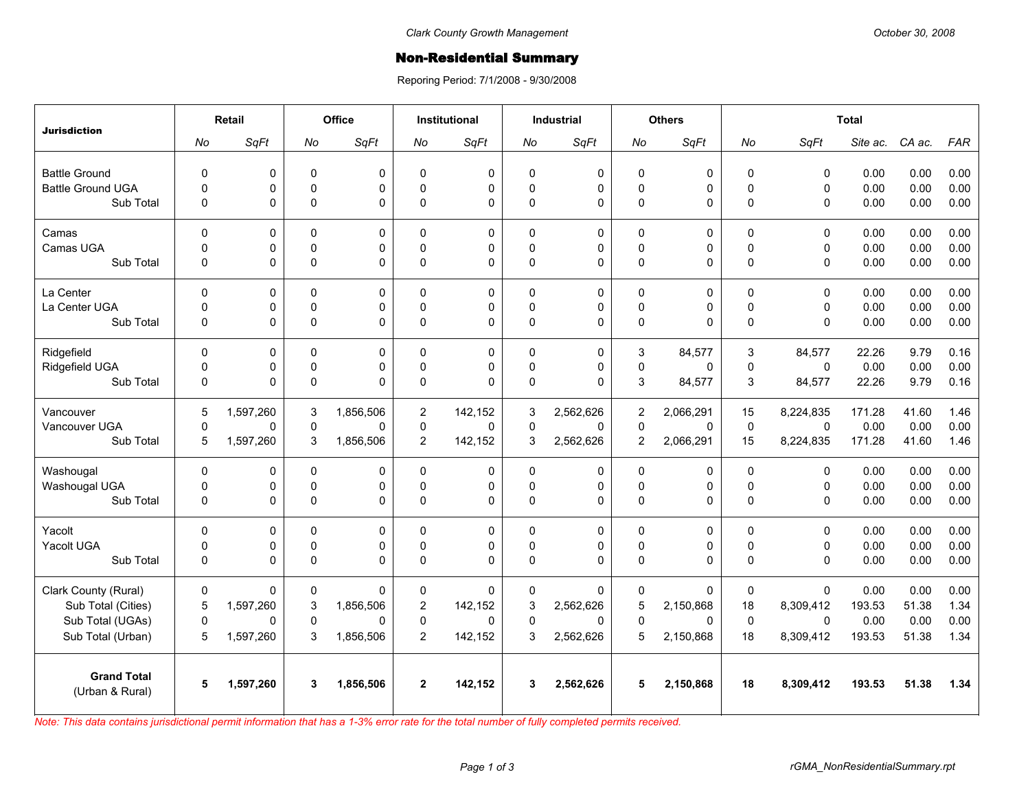## **Non-Residential Summary**

Reporing Period: 7/1/2008 - 9/30/2008

| <b>Jurisdiction</b>      | <b>Retail</b> |             | Office      |             | Institutional  |              | <b>Industrial</b> |             | <b>Others</b>  |             | <b>Total</b> |             |          |        |            |
|--------------------------|---------------|-------------|-------------|-------------|----------------|--------------|-------------------|-------------|----------------|-------------|--------------|-------------|----------|--------|------------|
|                          | No            | SqFt        | No          | SqFt        | No             | SqFt         | No                | SqFt        | No             | SqFt        | No           | SqFt        | Site ac. | CA ac. | <b>FAR</b> |
| <b>Battle Ground</b>     | $\mathbf 0$   | 0           | $\pmb{0}$   | 0           | 0              | $\mathbf 0$  | $\mathbf 0$       | 0           | 0              | 0           | $\mathbf 0$  | $\mathbf 0$ | 0.00     | 0.00   | 0.00       |
| <b>Battle Ground UGA</b> | $\pmb{0}$     | 0           | $\mathbf 0$ | 0           | $\Omega$       | $\mathbf 0$  | $\mathbf 0$       | 0           | 0              | $\mathbf 0$ | $\mathbf 0$  | 0           | 0.00     | 0.00   | 0.00       |
| Sub Total                | $\Omega$      | 0           | $\mathbf 0$ | $\Omega$    | $\Omega$       | $\Omega$     | $\mathbf 0$       | $\Omega$    | 0              | $\Omega$    | $\mathbf 0$  | $\Omega$    | 0.00     | 0.00   | 0.00       |
|                          |               |             |             |             |                |              |                   |             |                |             |              |             |          |        |            |
| Camas                    | $\Omega$      | 0           | $\mathbf 0$ | $\Omega$    | $\Omega$       | $\mathbf{0}$ | $\Omega$          | $\Omega$    | 0              | $\mathbf 0$ | $\Omega$     | $\Omega$    | 0.00     | 0.00   | 0.00       |
| Camas UGA                | $\Omega$      | 0           | $\mathbf 0$ | $\Omega$    | $\Omega$       | $\Omega$     | $\Omega$          | $\Omega$    | 0              | 0           | $\mathbf 0$  | $\mathbf 0$ | 0.00     | 0.00   | 0.00       |
| Sub Total                | $\mathbf 0$   | 0           | $\pmb{0}$   | $\Omega$    | $\Omega$       | $\mathbf 0$  | $\mathbf 0$       | $\Omega$    | 0              | 0           | $\Omega$     | 0           | 0.00     | 0.00   | 0.00       |
| La Center                | $\pmb{0}$     | 0           | $\pmb{0}$   | 0           | 0              | $\mathbf 0$  | 0                 | $\Omega$    | 0              | $\mathbf 0$ | $\pmb{0}$    | $\mathsf 0$ | 0.00     | 0.00   | 0.00       |
| La Center UGA            | $\Omega$      | 0           | $\mathbf 0$ | 0           | $\Omega$       | $\mathbf 0$  | $\Omega$          | 0           | 0              | 0           | $\Omega$     | 0           | 0.00     | 0.00   | 0.00       |
| Sub Total                | $\mathbf 0$   | 0           | $\pmb{0}$   | $\Omega$    | $\Omega$       | $\Omega$     | $\mathbf 0$       | 0           | 0              | 0           | $\mathbf 0$  | 0           | 0.00     | 0.00   | 0.00       |
| Ridgefield               | $\Omega$      | 0           | $\mathbf 0$ | $\Omega$    | $\Omega$       | $\mathbf{0}$ | $\Omega$          | $\Omega$    | 3              | 84,577      | 3            | 84,577      | 22.26    | 9.79   | 0.16       |
| Ridgefield UGA           | $\mathsf 0$   | 0           | $\pmb{0}$   | 0           | 0              | $\pmb{0}$    | $\mathbf 0$       | 0           | 0              | $\mathbf 0$ | $\mathbf 0$  | $\pmb{0}$   | 0.00     | 0.00   | 0.00       |
| Sub Total                | $\pmb{0}$     | 0           | $\mathbf 0$ | $\Omega$    | $\Omega$       | $\Omega$     | $\Omega$          | $\Omega$    | 3              | 84,577      | 3            | 84,577      | 22.26    | 9.79   | 0.16       |
|                          |               |             |             |             |                |              |                   |             |                |             |              |             |          |        |            |
| Vancouver                | 5             | 1.597.260   | 3           | 1.856.506   | $\overline{2}$ | 142.152      | 3                 | 2.562.626   | $\overline{2}$ | 2.066.291   | 15           | 8.224.835   | 171.28   | 41.60  | 1.46       |
| Vancouver UGA            | $\mathbf 0$   | 0           | $\pmb{0}$   | $\Omega$    | 0              | $\Omega$     | $\mathbf 0$       | $\Omega$    | 0              | $\Omega$    | $\pmb{0}$    | $\Omega$    | 0.00     | 0.00   | 0.00       |
| Sub Total                | 5             | 1,597,260   | 3           | 1,856,506   | $\overline{2}$ | 142,152      | 3                 | 2,562,626   | 2              | 2,066,291   | 15           | 8,224,835   | 171.28   | 41.60  | 1.46       |
| Washougal                | 0             | 0           | $\pmb{0}$   | 0           | 0              | $\pmb{0}$    | $\mathbf 0$       | 0           | 0              | $\pmb{0}$   | $\mathbf 0$  | 0           | 0.00     | 0.00   | 0.00       |
| Washougal UGA            | $\pmb{0}$     | $\mathbf 0$ | $\pmb{0}$   | 0           | 0              | $\mathbf 0$  | $\mathbf 0$       | 0           | 0              | $\pmb{0}$   | $\mathbf 0$  | 0           | 0.00     | 0.00   | 0.00       |
| Sub Total                | $\Omega$      | 0           | $\pmb{0}$   | $\mathbf 0$ | $\Omega$       | $\Omega$     | $\Omega$          | $\Omega$    | 0              | 0           | $\mathbf 0$  | $\mathbf 0$ | 0.00     | 0.00   | 0.00       |
| Yacolt                   | $\mathbf 0$   | 0           | $\pmb{0}$   | 0           | 0              | $\mathbf 0$  | $\mathbf 0$       | 0           | 0              | $\pmb{0}$   | $\mathbf 0$  | $\mathbf 0$ | 0.00     | 0.00   | 0.00       |
| Yacolt UGA               | $\pmb{0}$     | 0           | $\pmb{0}$   | 0           | 0              | $\mathbf 0$  | $\pmb{0}$         | 0           | 0              | $\mathbf 0$ | $\mathbf 0$  | $\mathbf 0$ | 0.00     | 0.00   | 0.00       |
| Sub Total                | $\Omega$      | 0           | $\mathbf 0$ | $\Omega$    | $\Omega$       | $\Omega$     | $\Omega$          | $\Omega$    | 0              | $\Omega$    | $\mathbf{0}$ | $\Omega$    | 0.00     | 0.00   | 0.00       |
| Clark County (Rural)     | $\mathbf 0$   | 0           | 0           | $\Omega$    | 0              | $\Omega$     | 0                 | $\Omega$    | 0              | $\Omega$    | 0            | $\mathbf 0$ | 0.00     | 0.00   | 0.00       |
| Sub Total (Cities)       | 5             | 1,597,260   | 3           | 1,856,506   | $\overline{2}$ | 142,152      | 3                 | 2,562,626   | 5              | 2,150,868   | 18           | 8,309,412   | 193.53   | 51.38  | 1.34       |
| Sub Total (UGAs)         | $\mathbf 0$   | 0           | $\pmb{0}$   | $\Omega$    | 0              | $\Omega$     | 0                 | $\mathbf 0$ | 0              | 0           | $\mathbf 0$  | $\mathbf 0$ | 0.00     | 0.00   | 0.00       |
| Sub Total (Urban)        | 5             | 1,597,260   | 3           | 1,856,506   | $\overline{2}$ | 142,152      | 3                 | 2,562,626   | 5              | 2,150,868   | 18           | 8,309,412   | 193.53   | 51.38  | 1.34       |
| <b>Grand Total</b>       |               |             |             |             |                |              |                   |             |                |             |              |             |          |        |            |
| (Urban & Rural)          | 5             | 1,597,260   | 3           | 1,856,506   | $\mathbf{2}$   | 142,152      | 3                 | 2,562,626   | 5              | 2,150,868   | 18           | 8,309,412   | 193.53   | 51.38  | 1.34       |

*Note: This data contains jurisdictional permit information that has a 1-3% error rate for the total number of fully completed permits received.*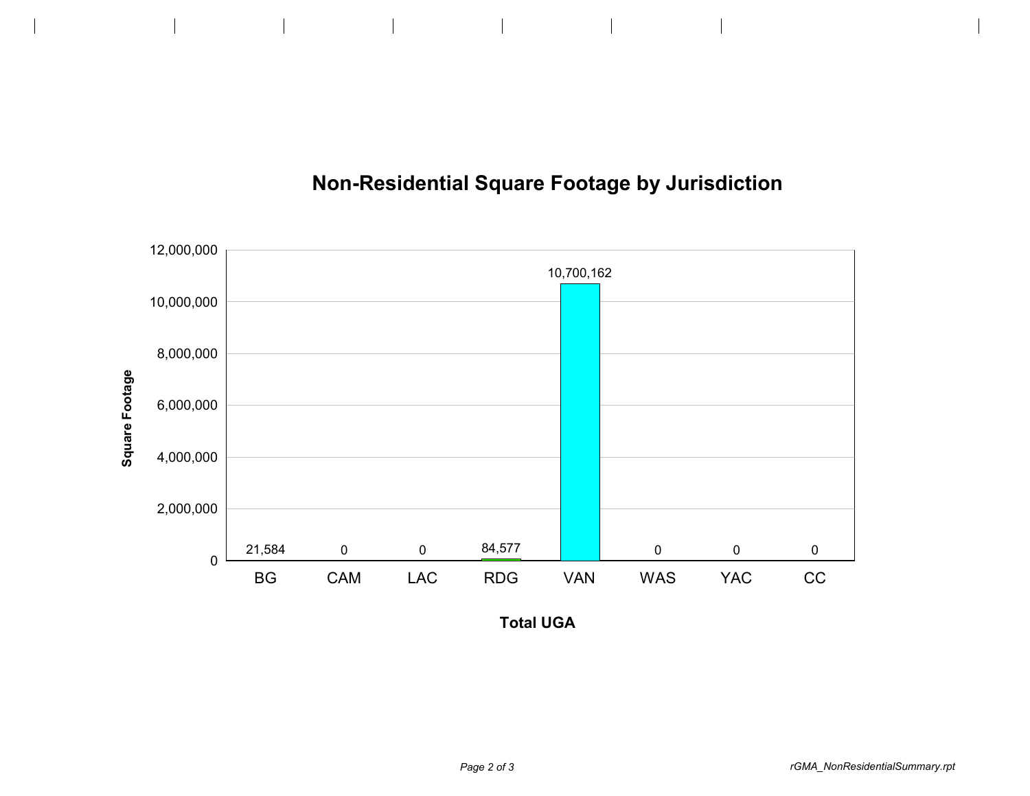



**Total UGA**